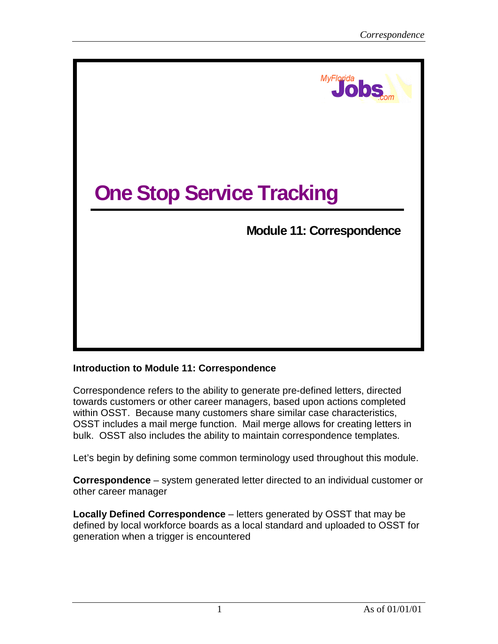

## **Introduction to Module 11: Correspondence**

Correspondence refers to the ability to generate pre-defined letters, directed towards customers or other career managers, based upon actions completed within OSST. Because many customers share similar case characteristics, OSST includes a mail merge function. Mail merge allows for creating letters in bulk. OSST also includes the ability to maintain correspondence templates.

Let's begin by defining some common terminology used throughout this module.

**Correspondence** – system generated letter directed to an individual customer or other career manager

**Locally Defined Correspondence** – letters generated by OSST that may be defined by local workforce boards as a local standard and uploaded to OSST for generation when a trigger is encountered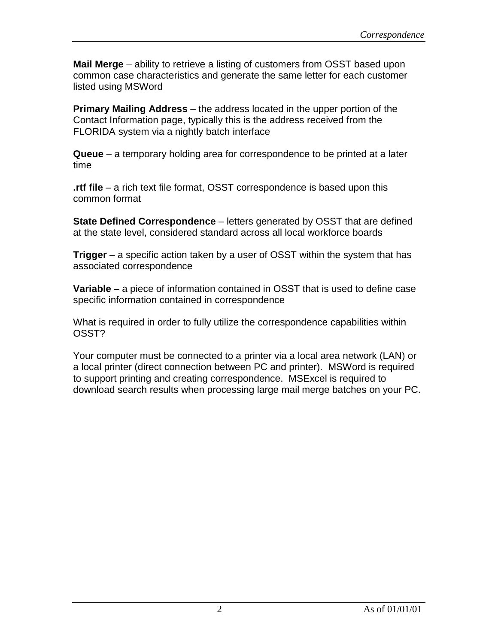**Mail Merge** – ability to retrieve a listing of customers from OSST based upon common case characteristics and generate the same letter for each customer listed using MSWord

**Primary Mailing Address** – the address located in the upper portion of the Contact Information page, typically this is the address received from the FLORIDA system via a nightly batch interface

**Queue** – a temporary holding area for correspondence to be printed at a later time

**.rtf file** – a rich text file format, OSST correspondence is based upon this common format

**State Defined Correspondence** – letters generated by OSST that are defined at the state level, considered standard across all local workforce boards

**Trigger** – a specific action taken by a user of OSST within the system that has associated correspondence

**Variable** – a piece of information contained in OSST that is used to define case specific information contained in correspondence

What is required in order to fully utilize the correspondence capabilities within OSST?

Your computer must be connected to a printer via a local area network (LAN) or a local printer (direct connection between PC and printer). MSWord is required to support printing and creating correspondence. MSExcel is required to download search results when processing large mail merge batches on your PC.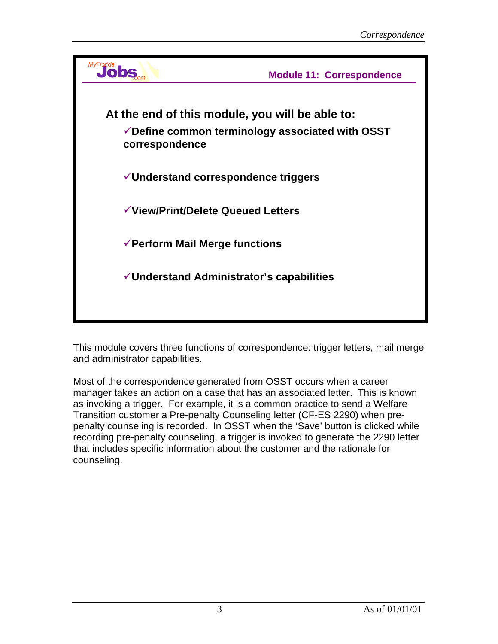

This module covers three functions of correspondence: trigger letters, mail merge and administrator capabilities.

Most of the correspondence generated from OSST occurs when a career manager takes an action on a case that has an associated letter. This is known as invoking a trigger. For example, it is a common practice to send a Welfare Transition customer a Pre-penalty Counseling letter (CF-ES 2290) when prepenalty counseling is recorded. In OSST when the 'Save' button is clicked while recording pre-penalty counseling, a trigger is invoked to generate the 2290 letter that includes specific information about the customer and the rationale for counseling.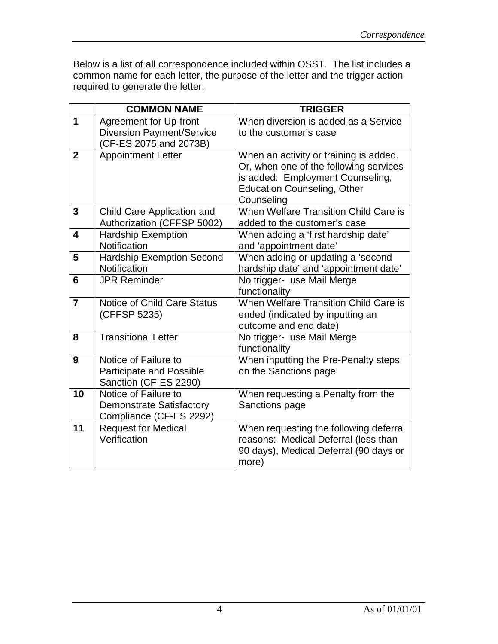Below is a list of all correspondence included within OSST. The list includes a common name for each letter, the purpose of the letter and the trigger action required to generate the letter.

| When diversion is added as a Service<br>When an activity or training is added.<br>Or, when one of the following services<br>is added: Employment Counseling,<br>When Welfare Transition Child Care is |
|-------------------------------------------------------------------------------------------------------------------------------------------------------------------------------------------------------|
|                                                                                                                                                                                                       |
|                                                                                                                                                                                                       |
|                                                                                                                                                                                                       |
|                                                                                                                                                                                                       |
|                                                                                                                                                                                                       |
|                                                                                                                                                                                                       |
|                                                                                                                                                                                                       |
|                                                                                                                                                                                                       |
|                                                                                                                                                                                                       |
|                                                                                                                                                                                                       |
|                                                                                                                                                                                                       |
|                                                                                                                                                                                                       |
|                                                                                                                                                                                                       |
| hardship date' and 'appointment date'                                                                                                                                                                 |
|                                                                                                                                                                                                       |
|                                                                                                                                                                                                       |
| When Welfare Transition Child Care is                                                                                                                                                                 |
|                                                                                                                                                                                                       |
|                                                                                                                                                                                                       |
|                                                                                                                                                                                                       |
|                                                                                                                                                                                                       |
| When inputting the Pre-Penalty steps                                                                                                                                                                  |
|                                                                                                                                                                                                       |
|                                                                                                                                                                                                       |
|                                                                                                                                                                                                       |
|                                                                                                                                                                                                       |
| When requesting the following deferral                                                                                                                                                                |
| reasons: Medical Deferral (less than                                                                                                                                                                  |
| 90 days), Medical Deferral (90 days or                                                                                                                                                                |
|                                                                                                                                                                                                       |
| When adding or updating a 'second<br>When requesting a Penalty from the                                                                                                                               |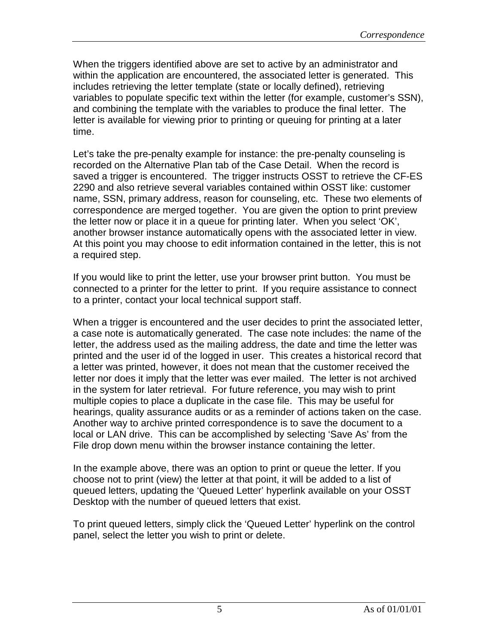When the triggers identified above are set to active by an administrator and within the application are encountered, the associated letter is generated. This includes retrieving the letter template (state or locally defined), retrieving variables to populate specific text within the letter (for example, customer's SSN), and combining the template with the variables to produce the final letter. The letter is available for viewing prior to printing or queuing for printing at a later time.

Let's take the pre-penalty example for instance: the pre-penalty counseling is recorded on the Alternative Plan tab of the Case Detail. When the record is saved a trigger is encountered. The trigger instructs OSST to retrieve the CF-ES 2290 and also retrieve several variables contained within OSST like: customer name, SSN, primary address, reason for counseling, etc. These two elements of correspondence are merged together. You are given the option to print preview the letter now or place it in a queue for printing later. When you select 'OK', another browser instance automatically opens with the associated letter in view. At this point you may choose to edit information contained in the letter, this is not a required step.

If you would like to print the letter, use your browser print button. You must be connected to a printer for the letter to print. If you require assistance to connect to a printer, contact your local technical support staff.

When a trigger is encountered and the user decides to print the associated letter, a case note is automatically generated. The case note includes: the name of the letter, the address used as the mailing address, the date and time the letter was printed and the user id of the logged in user. This creates a historical record that a letter was printed, however, it does not mean that the customer received the letter nor does it imply that the letter was ever mailed. The letter is not archived in the system for later retrieval. For future reference, you may wish to print multiple copies to place a duplicate in the case file. This may be useful for hearings, quality assurance audits or as a reminder of actions taken on the case. Another way to archive printed correspondence is to save the document to a local or LAN drive. This can be accomplished by selecting 'Save As' from the File drop down menu within the browser instance containing the letter.

In the example above, there was an option to print or queue the letter. If you choose not to print (view) the letter at that point, it will be added to a list of queued letters, updating the 'Queued Letter' hyperlink available on your OSST Desktop with the number of queued letters that exist.

To print queued letters, simply click the 'Queued Letter' hyperlink on the control panel, select the letter you wish to print or delete.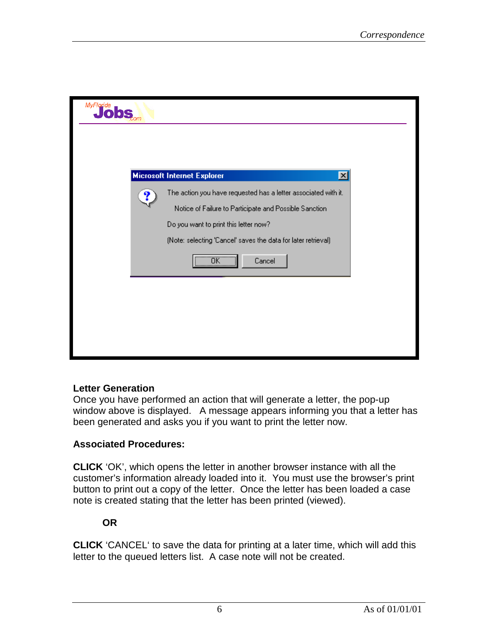| MyFlorida |                                                                                                                                                                   |  |
|-----------|-------------------------------------------------------------------------------------------------------------------------------------------------------------------|--|
|           |                                                                                                                                                                   |  |
|           | <b>Microsoft Internet Explorer</b><br>$\vert x \vert$                                                                                                             |  |
| ?         | The action you have requested has a letter associated with it.<br>Notice of Failure to Participate and Possible Sanction<br>Do you want to print this letter now? |  |
|           | (Note: selecting 'Cancel' saves the data for later retrieval)                                                                                                     |  |
|           | $\overline{OK}$<br>Cancel                                                                                                                                         |  |
|           |                                                                                                                                                                   |  |
|           |                                                                                                                                                                   |  |
|           |                                                                                                                                                                   |  |

## **Letter Generation**

Once you have performed an action that will generate a letter, the pop-up window above is displayed. A message appears informing you that a letter has been generated and asks you if you want to print the letter now.

## **Associated Procedures:**

**CLICK** 'OK', which opens the letter in another browser instance with all the customer's information already loaded into it. You must use the browser's print button to print out a copy of the letter. Once the letter has been loaded a case note is created stating that the letter has been printed (viewed).

#### **OR**

**CLICK** 'CANCEL' to save the data for printing at a later time, which will add this letter to the queued letters list. A case note will not be created.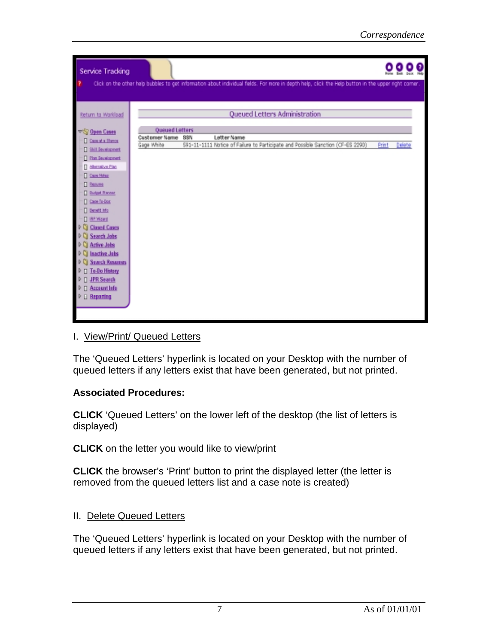| Service Tracking                  |                       |                                                                                                                                                      |       |        |  |
|-----------------------------------|-----------------------|------------------------------------------------------------------------------------------------------------------------------------------------------|-------|--------|--|
|                                   |                       | Click on the other help bubbles to get information about individual fields. For more in depth help, click the Help button in the upper right corner. |       |        |  |
|                                   |                       |                                                                                                                                                      |       |        |  |
| Return to Workload                |                       | Queued Letters Administration                                                                                                                        |       |        |  |
|                                   |                       |                                                                                                                                                      |       |        |  |
| <b>VS Open Cases</b>              | <b>Queued Letters</b> |                                                                                                                                                      |       |        |  |
| Case at a Diance                  | Customer Name         | Letter Name<br><b>SSN</b>                                                                                                                            |       |        |  |
| <b>T Sill Severagest</b>          | Gage White            | 591-11-1111 Notice of Failure to Participate and Possible Sanction (CF-ES 2290)                                                                      | Print | Delete |  |
| <b>Disn Bevelopment</b>           |                       |                                                                                                                                                      |       |        |  |
| <b>Blandba Plan</b>               |                       |                                                                                                                                                      |       |        |  |
| <b>Care Hotez</b>                 |                       |                                                                                                                                                      |       |        |  |
| <b>D</b> Resume                   |                       |                                                                                                                                                      |       |        |  |
| <b>Dudget Ranner</b>              |                       |                                                                                                                                                      |       |        |  |
| <b>T</b> Care To-Dog              |                       |                                                                                                                                                      |       |        |  |
| <b>Denett Mo</b>                  |                       |                                                                                                                                                      |       |        |  |
| <b>D</b> IRP Waard                |                       |                                                                                                                                                      |       |        |  |
| Closed Cases                      |                       |                                                                                                                                                      |       |        |  |
| Search Jobs<br><b>Active Jobs</b> |                       |                                                                                                                                                      |       |        |  |
| Inactive Jobs                     |                       |                                                                                                                                                      |       |        |  |
| <b>Search Resumes</b>             |                       |                                                                                                                                                      |       |        |  |
| <b>To Do History</b>              |                       |                                                                                                                                                      |       |        |  |
| <b>JPR Search</b>                 |                       |                                                                                                                                                      |       |        |  |
| <b>Account lafe</b>               |                       |                                                                                                                                                      |       |        |  |
| <b>Reporting</b>                  |                       |                                                                                                                                                      |       |        |  |
|                                   |                       |                                                                                                                                                      |       |        |  |
|                                   |                       |                                                                                                                                                      |       |        |  |

#### I. View/Print/ Queued Letters

The 'Queued Letters' hyperlink is located on your Desktop with the number of queued letters if any letters exist that have been generated, but not printed.

## **Associated Procedures:**

**CLICK** 'Queued Letters' on the lower left of the desktop (the list of letters is displayed)

**CLICK** on the letter you would like to view/print

**CLICK** the browser's 'Print' button to print the displayed letter (the letter is removed from the queued letters list and a case note is created)

## II. Delete Queued Letters

The 'Queued Letters' hyperlink is located on your Desktop with the number of queued letters if any letters exist that have been generated, but not printed.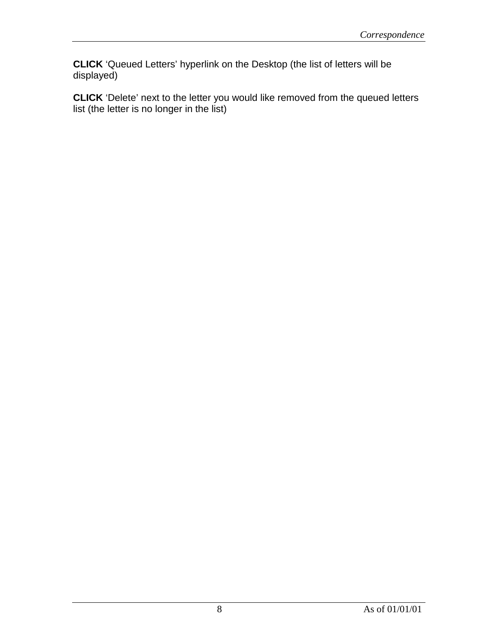**CLICK** 'Queued Letters' hyperlink on the Desktop (the list of letters will be displayed)

**CLICK** 'Delete' next to the letter you would like removed from the queued letters list (the letter is no longer in the list)